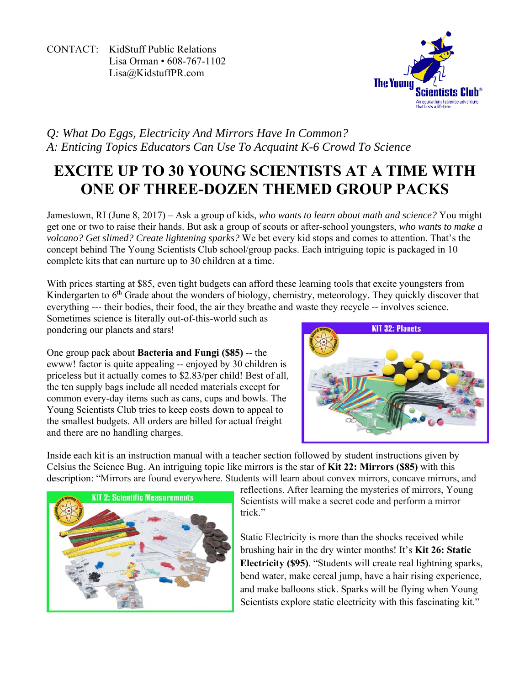CONTACT: KidStuff Public Relations Lisa Orman • 608-767-1102 Lisa@KidstuffPR.com



# *Q: What Do Eggs, Electricity And Mirrors Have In Common? A: Enticing Topics Educators Can Use To Acquaint K-6 Crowd To Science*

# **EXCITE UP TO 30 YOUNG SCIENTISTS AT A TIME WITH ONE OF THREE-DOZEN THEMED GROUP PACKS**

Jamestown, RI (June 8, 2017) – Ask a group of kids, *who wants to learn about math and science?* You might get one or two to raise their hands. But ask a group of scouts or after-school youngsters, *who wants to make a volcano? Get slimed? Create lightening sparks?* We bet every kid stops and comes to attention. That's the concept behind The Young Scientists Club school/group packs. Each intriguing topic is packaged in 10 complete kits that can nurture up to 30 children at a time.

With prices starting at \$85, even tight budgets can afford these learning tools that excite youngsters from Kindergarten to 6<sup>th</sup> Grade about the wonders of biology, chemistry, meteorology. They quickly discover that everything --- their bodies, their food, the air they breathe and waste they recycle -- involves science.

Sometimes science is literally out-of-this-world such as pondering our planets and stars!

One group pack about **Bacteria and Fungi (\$85)** -- the ewww! factor is quite appealing -- enjoyed by 30 children is priceless but it actually comes to \$2.83/per child! Best of all, the ten supply bags include all needed materials except for common every-day items such as cans, cups and bowls. The Young Scientists Club tries to keep costs down to appeal to the smallest budgets. All orders are billed for actual freight and there are no handling charges.



Inside each kit is an instruction manual with a teacher section followed by student instructions given by Celsius the Science Bug. An intriguing topic like mirrors is the star of **Kit 22: Mirrors (\$85)** with this description: "Mirrors are found everywhere. Students will learn about convex mirrors, concave mirrors, and



reflections. After learning the mysteries of mirrors, Young Scientists will make a secret code and perform a mirror trick<sup>"</sup>

Static Electricity is more than the shocks received while brushing hair in the dry winter months! It's **Kit 26: Static Electricity (\$95)**. "Students will create real lightning sparks, bend water, make cereal jump, have a hair rising experience, and make balloons stick. Sparks will be flying when Young Scientists explore static electricity with this fascinating kit."